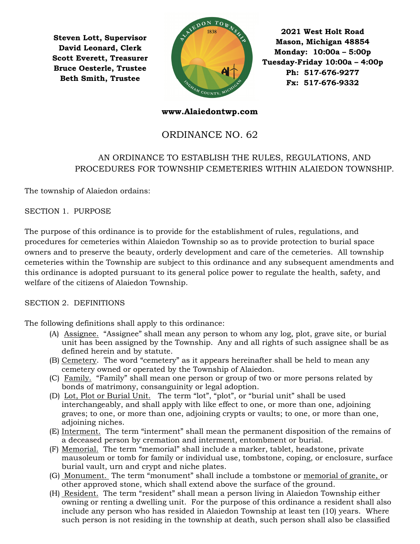Steven Lott, Supervisor David Leonard, Clerk Scott Everett, Treasurer Bruce Oesterle, Trustee Beth Smith, Trustee



2021 West Holt Road Mason, Michigan 48854 Monday: 10:00a – 5:00p Tuesday-Friday 10:00a – 4:00p Ph: 517-676-9277 Fx: 517-676-9332

#### www.Alaiedontwp.com

# ORDINANCE NO. 62

## AN ORDINANCE TO ESTABLISH THE RULES, REGULATIONS, AND PROCEDURES FOR TOWNSHIP CEMETERIES WITHIN ALAIEDON TOWNSHIP.

The township of Alaiedon ordains:

SECTION 1. PURPOSE

The purpose of this ordinance is to provide for the establishment of rules, regulations, and procedures for cemeteries within Alaiedon Township so as to provide protection to burial space owners and to preserve the beauty, orderly development and care of the cemeteries. All township cemeteries within the Township are subject to this ordinance and any subsequent amendments and this ordinance is adopted pursuant to its general police power to regulate the health, safety, and welfare of the citizens of Alaiedon Township.

#### SECTION 2. DEFINITIONS

The following definitions shall apply to this ordinance:

- (A) Assignee. "Assignee" shall mean any person to whom any log, plot, grave site, or burial unit has been assigned by the Township. Any and all rights of such assignee shall be as defined herein and by statute.
- (B) Cemetery. The word "cemetery" as it appears hereinafter shall be held to mean any cemetery owned or operated by the Township of Alaiedon.
- (C) Family. "Family" shall mean one person or group of two or more persons related by bonds of matrimony, consanguinity or legal adoption.
- (D) Lot, Plot or Burial Unit. The term "lot", "plot", or "burial unit" shall be used interchangeably, and shall apply with like effect to one, or more than one, adjoining graves; to one, or more than one, adjoining crypts or vaults; to one, or more than one, adjoining niches.
- (E) Interment. The term "interment" shall mean the permanent disposition of the remains of a deceased person by cremation and interment, entombment or burial.
- (F) Memorial. The term "memorial" shall include a marker, tablet, headstone, private mausoleum or tomb for family or individual use, tombstone, coping, or enclosure, surface burial vault, urn and crypt and niche plates.
- (G) Monument. The term "monument" shall include a tombstone or memorial of granite, or other approved stone, which shall extend above the surface of the ground.
- (H) Resident. The term "resident" shall mean a person living in Alaiedon Township either owning or renting a dwelling unit. For the purpose of this ordinance a resident shall also include any person who has resided in Alaiedon Township at least ten (10) years. Where such person is not residing in the township at death, such person shall also be classified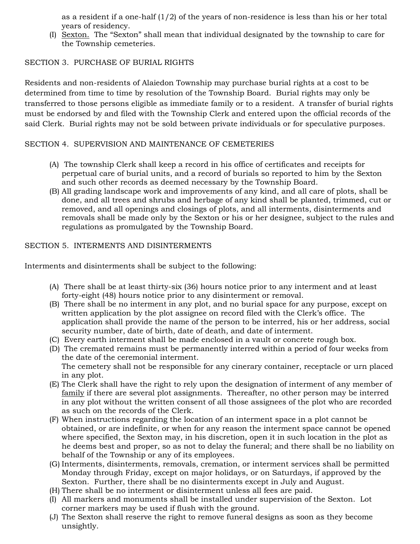as a resident if a one-half  $(1/2)$  of the years of non-residence is less than his or her total years of residency.

(I) Sexton. The "Sexton" shall mean that individual designated by the township to care for the Township cemeteries.

#### SECTION 3. PURCHASE OF BURIAL RIGHTS

Residents and non-residents of Alaiedon Township may purchase burial rights at a cost to be determined from time to time by resolution of the Township Board. Burial rights may only be transferred to those persons eligible as immediate family or to a resident. A transfer of burial rights must be endorsed by and filed with the Township Clerk and entered upon the official records of the said Clerk. Burial rights may not be sold between private individuals or for speculative purposes.

#### SECTION 4. SUPERVISION AND MAINTENANCE OF CEMETERIES

- (A) The township Clerk shall keep a record in his office of certificates and receipts for perpetual care of burial units, and a record of burials so reported to him by the Sexton and such other records as deemed necessary by the Township Board.
- (B) All grading landscape work and improvements of any kind, and all care of plots, shall be done, and all trees and shrubs and herbage of any kind shall be planted, trimmed, cut or removed, and all openings and closings of plots, and all interments, disinterments and removals shall be made only by the Sexton or his or her designee, subject to the rules and regulations as promulgated by the Township Board.

#### SECTION 5. INTERMENTS AND DISINTERMENTS

Interments and disinterments shall be subject to the following:

- (A) There shall be at least thirty-six (36) hours notice prior to any interment and at least forty-eight (48) hours notice prior to any disinterment or removal.
- (B) There shall be no interment in any plot, and no burial space for any purpose, except on written application by the plot assignee on record filed with the Clerk's office. The application shall provide the name of the person to be interred, his or her address, social security number, date of birth, date of death, and date of interment.
- (C) Every earth interment shall be made enclosed in a vault or concrete rough box.
- (D) The cremated remains must be permanently interred within a period of four weeks from the date of the ceremonial interment. The cemetery shall not be responsible for any cinerary container, receptacle or urn placed in any plot.
- (E) The Clerk shall have the right to rely upon the designation of interment of any member of family if there are several plot assignments. Thereafter, no other person may be interred in any plot without the written consent of all those assignees of the plot who are recorded as such on the records of the Clerk.
- (F) When instructions regarding the location of an interment space in a plot cannot be obtained, or are indefinite, or when for any reason the interment space cannot be opened where specified, the Sexton may, in his discretion, open it in such location in the plot as he deems best and proper, so as not to delay the funeral; and there shall be no liability on behalf of the Township or any of its employees.
- (G) Interments, disinterments, removals, cremation, or interment services shall be permitted Monday through Friday, except on major holidays, or on Saturdays, if approved by the Sexton. Further, there shall be no disinterments except in July and August.
- (H) There shall be no interment or disinterment unless all fees are paid.
- (I) All markers and monuments shall be installed under supervision of the Sexton. Lot corner markers may be used if flush with the ground.
- (J) The Sexton shall reserve the right to remove funeral designs as soon as they become unsightly.